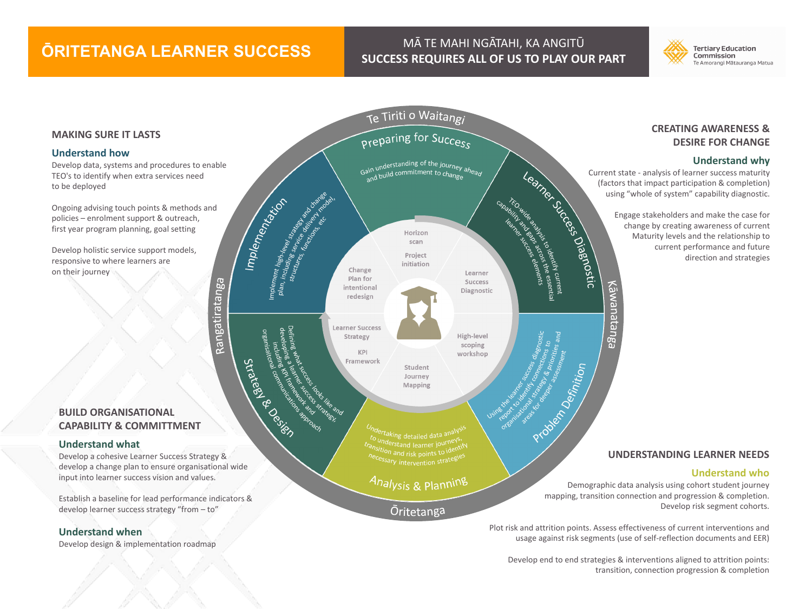## **ŌRITETANGA LEARNER SUCCESS** MĀ TE MAHI NGĀTAHI, KA ANGITŪ

Rangatiratanga

# **SUCCESS REQUIRES ALL OF US TO PLAY OUR PART**



#### **MAKING SURE IT LASTS**

#### **Understand how**

Develop data, systems and procedures to enable TEO's to identify when extra services need to be deployed

Ongoing advising touch points & methods and policies – enrolment support & outreach, first year program planning, goal setting

Develop holistic service support models, responsive to where learners are on their journey

#### **BUILD ORGANISATIONAL CAPABILITY & COMMITTMENT**

#### **Understand what**

Develop a cohesive Learner Success Strategy & develop a change plan to ensure organisational wide input into learner success vision and values.

Establish a baseline for lead performance indicators & develop learner success strategy "from – to"

#### **Understand when**

Develop design & implementation roadmap



#### **CREATING AWARENESS & DESIRE FOR CHANGE**

#### **Understand why**

(factors that impact participation & completion) using "whole of system" capability diagnostic.

> Engage stakeholders and make the case for change by creating awareness of current Maturity levels and the relationship to current performance and future direction and strategies

#### **UNDERSTANDING LEARNER NEEDS**

#### **Understand who**

Demographic data analysis using cohort student journey mapping, transition connection and progression & completion. Develop risk segment cohorts.

Plot risk and attrition points. Assess effectiveness of current interventions and usage against risk segments (use of self-reflection documents and EER)

Develop end to end strategies & interventions aligned to attrition points: transition, connection progression & completion